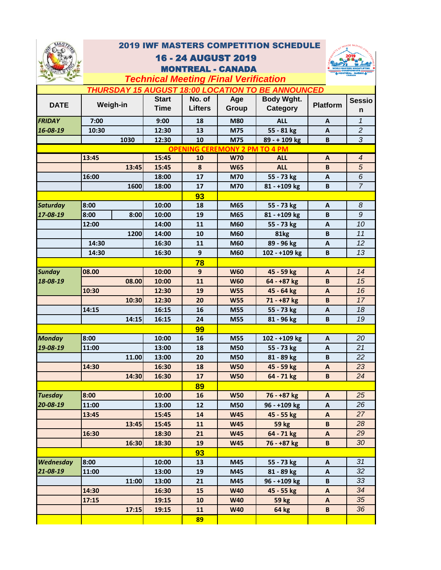

## 2019 IWF MASTERS COMPETITION SCHEDULE

## 16 - 24 AUGUST 2019 MONTREAL - CANADA



## **DATE Start Time No. of Lifters Age Group Body Wght. Category Platform Sessio n 7:00 9:00 18 M80 ALL A** *1* **10:30 12:30 13 M75 55 - 81 kg A** *2* **1030 12:30 10 M75 89 - + 109 kg B** *3* **13:45 15:45 10 W70 ALL A** *4* **15:45 8 W65 ALL B** *5* **16:00 18:00 17 M70 55 - 73 kg A** *6* **1600 18:00 17 M70 81 - +109 kg B** *7* **93 10:00 18 M65 55 - 73 kg A** *8* **8:00 8:00 10:00 19 M65 81 - +109 kg B** *9* **14:00 11 M60 55 - 73 kg A** *10* **1200 14:00 10 M60 81kg B** *11* **14:30 16:30 11 M60 89 - 96 kg A** *12* **14:30 16:30 9 M60 102 - +109 kg B** *13* **78 10:00 9 W60 45 - 59 kg A** *14* **08.00 10:00 11 W60 64 - +87 kg B** *15* **12:30 19 W55 45 - 64 kg A** *16* **12:30 20 W55 71 - +87 kg B** *17* **14:15 16:15 16 M55 55 - 73 kg A** *18* **16:15 24 M55 81 - 96 kg B** *19* **99 10:00 16 M55 102 - +109 kg A** *20* **13:00 18 M50 55 - 73 kg A** *21* **13:00 20 M50 81 - 89 kg B** *22* **16:30 18 W50 45 - 59 kg A** *23* **16:30 17 W50 64 - 71 kg B** *24* **89 10:00 16 W50 76 - +87 kg A** *25* **13:00 12 M50 96 - +109 kg A** *26* **15:45 14 W45 45 - 55 kg A** *27* **15:45 11 W45 59 kg B** *28* **18:30 21 W45 64 - 71 kg A** *29* **18:30 19 W45 76 - +87 kg B** *30* **93 10:00 13 M45 55 - 73 kg A** *31* **13:00 19 M45 81 - 89 kg A** *32* **13:00 21 M45 96 - +109 kg B** *33* **16:30 15 W40 45 - 55 kg A** *34* **19:15 10 W40 59 kg A** *35 Technical Meeting /Final Verification THURSDAY 15 AUGUST 18:00 LOCATION TO BE ANNOUNCED* **Weigh-in** *FRIDAY 16-08-19* **13:45** *Saturday 17-08-19* **8:00 12:00** *Sunday 18-08-19* **08.00 10:30 10:30 14:15** *Monday 19-08-19* **8:00 11:00 11.00 14:30 14:30** *Tuesday 20-08-19* **8:00 11:00 13:45 13:45 16:30 16:30** *Wednesday 21-08-19* **8:00 11:00 11:00 14:30 17:15 OPENING CEREMONY 2 PM TO 4 PM**<br>15:45 10 W70 ALL

**89**

**17:15**

**19:15 11 W40 64 kg B** *36*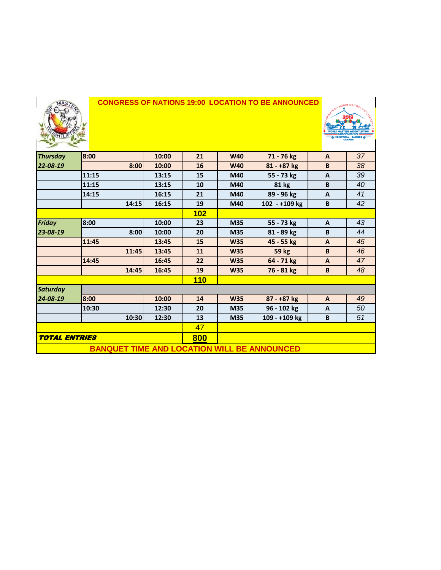

## **CONGRESS OF NATIONS 19:00 LOCATION TO BE ANNOUNCED**



| <b>Thursday</b>      | 8:00                                               | 10:00 | 21  | <b>W40</b> | 71 - 76 kg    | $\mathbf{A}$ | 37 |
|----------------------|----------------------------------------------------|-------|-----|------------|---------------|--------------|----|
| 22-08-19             | 8:00                                               | 10:00 | 16  | <b>W40</b> | $81 - +87$ kg | B            | 38 |
|                      | 11:15                                              | 13:15 | 15  | M40        | 55 - 73 kg    | A            | 39 |
|                      | 11:15                                              | 13:15 | 10  | M40        | 81 kg         | B            | 40 |
|                      | 14:15                                              | 16:15 | 21  | M40        | 89 - 96 kg    | A            | 41 |
|                      | 14:15                                              | 16:15 | 19  | M40        | 102 - +109 kg | B            | 42 |
|                      |                                                    |       | 102 |            |               |              |    |
| <b>Friday</b>        | 8:00                                               | 10:00 | 23  | M35        | 55 - 73 kg    | $\mathbf{A}$ | 43 |
| 23-08-19             | 8:00                                               | 10:00 | 20  | M35        | 81 - 89 kg    | B            | 44 |
|                      | 11:45                                              | 13:45 | 15  | <b>W35</b> | 45 - 55 kg    | $\mathsf{A}$ | 45 |
|                      | 11:45                                              | 13:45 | 11  | <b>W35</b> | <b>59 kg</b>  | B            | 46 |
|                      | 14:45                                              | 16:45 | 22  | <b>W35</b> | 64 - 71 kg    | $\mathsf{A}$ | 47 |
|                      | 14:45                                              | 16:45 | 19  | <b>W35</b> | 76 - 81 kg    | B            | 48 |
|                      |                                                    |       | 110 |            |               |              |    |
| <b>Saturday</b>      |                                                    |       |     |            |               |              |    |
| 24-08-19             | 8:00                                               | 10:00 | 14  | <b>W35</b> | 87 - +87 kg   | $\mathsf{A}$ | 49 |
|                      | 10:30                                              | 12:30 | 20  | M35        | 96 - 102 kg   | $\mathbf{A}$ | 50 |
|                      | 10:30                                              | 12:30 | 13  | M35        | 109 - +109 kg | B            | 51 |
|                      |                                                    | 47    |     |            |               |              |    |
| <b>TOTAL ENTRIES</b> |                                                    | 800   |     |            |               |              |    |
|                      | <b>BANQUET TIME AND LOCATION WILL BE ANNOUNCED</b> |       |     |            |               |              |    |